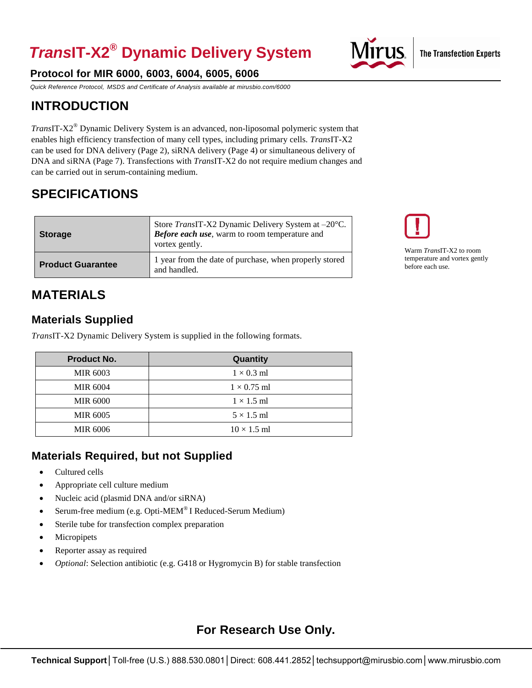# *Trans***IT-X2® Dynamic Delivery System**

### **Protocol for MIR 6000, 6003, 6004, 6005, 6006**

*Quick Reference Protocol, MSDS and Certificate of Analysis available a[t mirusbio.com/6000](http://www.mirusbio.com/6000)*

## **INTRODUCTION**

*Trans*IT-X2*®* Dynamic Delivery System is an advanced, non-liposomal polymeric system that enables high efficiency transfection of many cell types, including primary cells. *Trans*IT-X2 can be used for DNA delivery (Page 2), siRNA delivery (Page 4) or simultaneous delivery of DNA and siRNA (Page 7). Transfections with *Trans*IT-X2 do not require medium changes and can be carried out in serum-containing medium.

## **SPECIFICATIONS**

| <b>Storage</b>           | Store <i>TransIT-X2</i> Dynamic Delivery System at $-20^{\circ}$ C.<br><b>Before each use</b> , warm to room temperature and<br>vortex gently. |
|--------------------------|------------------------------------------------------------------------------------------------------------------------------------------------|
| <b>Product Guarantee</b> | 1 year from the date of purchase, when properly stored<br>and handled.                                                                         |

Warm *Trans*IT-X2 to room temperature and vortex gently before each use.

## **MATERIALS**

#### **Materials Supplied**

*Trans*IT-X2 Dynamic Delivery System is supplied in the following formats.

| <b>Product No.</b> | Quantity           |
|--------------------|--------------------|
| <b>MIR 6003</b>    | $1 \times 0.3$ ml  |
| <b>MIR 6004</b>    | $1 \times 0.75$ ml |
| <b>MIR 6000</b>    | $1 \times 1.5$ ml  |
| <b>MIR 6005</b>    | $5 \times 1.5$ ml  |
| <b>MIR 6006</b>    | $10 \times 1.5$ ml |

### **Materials Required, but not Supplied**

- Cultured cells
- Appropriate cell culture medium
- Nucleic acid (plasmid DNA and/or siRNA)
- Serum-free medium (e.g. Opti-MEM® I Reduced-Serum Medium)
- Sterile tube for transfection complex preparation
- Micropipets
- Reporter assay as required
- *Optional*: Selection antibiotic (e.g. G418 or Hygromycin B) for stable transfection

## **For Research Use Only.**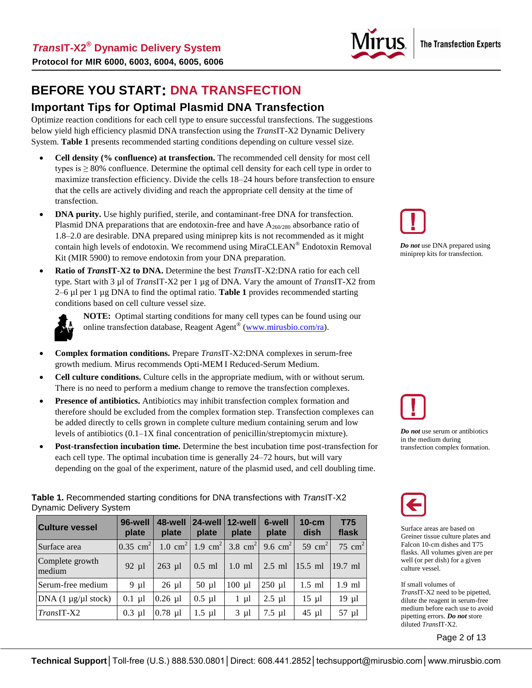

## **BEFORE YOU START: DNA TRANSFECTION**

#### **Important Tips for Optimal Plasmid DNA Transfection**

Optimize reaction conditions for each cell type to ensure successful transfections. The suggestions below yield high efficiency plasmid DNA transfection using the *Trans*IT-X2 Dynamic Delivery System. **Table 1** presents recommended starting conditions depending on culture vessel size.

- **Cell density (% confluence) at transfection.** The recommended cell density for most cell types is  $\geq$  80% confluence. Determine the optimal cell density for each cell type in order to maximize transfection efficiency. Divide the cells 18–24 hours before transfection to ensure that the cells are actively dividing and reach the appropriate cell density at the time of transfection.
- **DNA purity.** Use highly purified, sterile, and contaminant-free DNA for transfection. Plasmid DNA preparations that are endotoxin-free and have  $A_{260/280}$  absorbance ratio of 1.8–2.0 are desirable. DNA prepared using miniprep kits is not recommended as it might contain high levels of endotoxin. We recommend using MiraCLEAN® Endotoxin Removal Kit (MIR 5900) to remove endotoxin from your DNA preparation.
- **Ratio of** *Trans***IT-X2 to DNA.** Determine the best *Trans*IT-X2:DNA ratio for each cell type. Start with 3 µl of *Trans*IT-X2 per 1 µg of DNA. Vary the amount of *Trans*IT-X2 from 2–6 µl per 1 µg DNA to find the optimal ratio. **Table 1** provides recommended starting conditions based on cell culture vessel size.



**NOTE:** Optimal starting conditions for many cell types can be found using our online transfection database, Reagent Agent<sup>®</sup> [\(www.mirusbio.com/ra\)](http://www.mirusbio.com/ra).

- **Complex formation conditions.** Prepare *Trans*IT-X2:DNA complexes in serum-free growth medium. Mirus recommends Opti-MEM I Reduced-Serum Medium.
- **Cell culture conditions.** Culture cells in the appropriate medium, with or without serum. There is no need to perform a medium change to remove the transfection complexes.
- **Presence of antibiotics.** Antibiotics may inhibit transfection complex formation and therefore should be excluded from the complex formation step. Transfection complexes can be added directly to cells grown in complete culture medium containing serum and low levels of antibiotics (0.1–1X final concentration of penicillin/streptomycin mixture).
- **Post-transfection incubation time.** Determine the best incubation time post-transfection for each cell type. The optimal incubation time is generally 24–72 hours, but will vary depending on the goal of the experiment, nature of the plasmid used, and cell doubling time.

**Table 1.** Recommended starting conditions for DNA transfections with *Trans*IT-X2 Dynamic Delivery System

| <b>Culture vessel</b>       | 96-well<br>plate       | 48-well<br>plate   | 24-well<br>plate   | 12-well<br>plate | 6-well<br>plate | $10$ -cm<br>dish   | <b>T75</b><br>flask |
|-----------------------------|------------------------|--------------------|--------------------|------------------|-----------------|--------------------|---------------------|
| Surface area                | $0.35$ cm <sup>2</sup> | $1.0 \text{ cm}^2$ | $1.9 \text{ cm}^2$ | 3.8 $cm2$        | 9.6 $cm2$       | 59 cm <sup>2</sup> | 75 cm <sup>2</sup>  |
| Complete growth<br>medium   | $92 \mu l$             | $263$ µl           | $0.5$ ml           | $1.0$ ml         | $2.5$ ml        | $15.5$ ml          | $19.7$ ml           |
| Serum-free medium           | 9 µl                   | $26 \mu l$         | $50 \mu l$         | $100 \mu l$      | $250$ µl        | $1.5$ ml           | $1.9$ ml            |
| DNA $(1 \mu g/\mu l$ stock) | $0.1$ µl               | $0.26$ µl          | $0.5$ µl           | $1 \mu l$        | $2.5$ µl        | $15 \mu l$         | $19$ µl             |
| $TransIT-X2$                | $0.3$ µl               | $0.78$ µl          | $1.5 \mu l$        | $3 \mu l$        | $7.5$ µl        | $45 \mu l$         | $57 \mu l$          |



*Do not* use DNA prepared using miniprep kits for transfection.



*Do not* use serum or antibiotics in the medium during transfection complex formation.



Surface areas are based on Greiner tissue culture plates and Falcon 10-cm dishes and T75 flasks. All volumes given are per well (or per dish) for a given culture vessel.

If small volumes of *Trans*IT-X2 need to be pipetted, dilute the reagent in serum-free medium before each use to avoid pipetting errors. *Do not* store diluted *Trans*IT-X2.

Page 2 of 13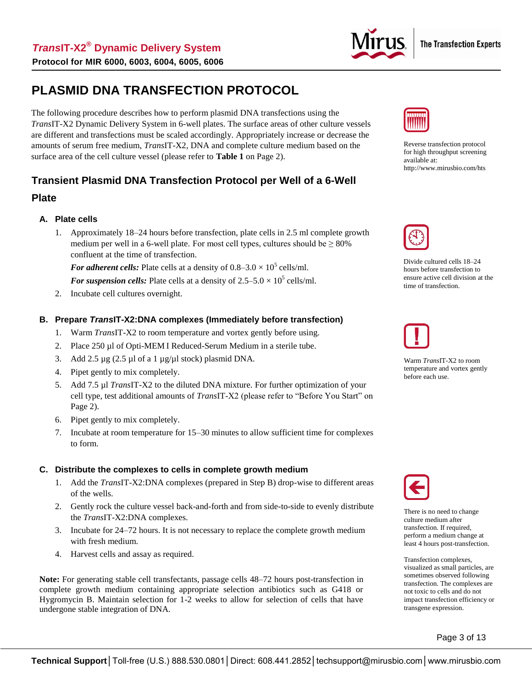

## **PLASMID DNA TRANSFECTION PROTOCOL**

The following procedure describes how to perform plasmid DNA transfections using the *Trans*IT-X2 Dynamic Delivery System in 6-well plates. The surface areas of other culture vessels are different and transfections must be scaled accordingly. Appropriately increase or decrease the amounts of serum free medium, *Trans*IT-X2, DNA and complete culture medium based on the surface area of the cell culture vessel (please refer to **Table 1** on Page 2).

#### **Transient Plasmid DNA Transfection Protocol per Well of a 6-Well**

#### **Plate**

#### **A. Plate cells**

1. Approximately 18–24 hours before transfection, plate cells in 2.5 ml complete growth medium per well in a 6-well plate. For most cell types, cultures should be  $\geq 80\%$ confluent at the time of transfection.

For *adherent cells:* Plate cells at a density of  $0.8-3.0 \times 10^5$  cells/ml.

For suspension cells: Plate cells at a density of  $2.5-5.0 \times 10^5$  cells/ml.

2. Incubate cell cultures overnight.

#### **B. Prepare** *Trans***IT-X2:DNA complexes (Immediately before transfection)**

- 1. Warm *Trans*IT-X2 to room temperature and vortex gently before using.
- 2. Place 250 µl of Opti-MEM I Reduced-Serum Medium in a sterile tube.
- 3. Add 2.5  $\mu$ g (2.5  $\mu$ l of a 1  $\mu$ g/ $\mu$ l stock) plasmid DNA.
- 4. Pipet gently to mix completely.
- 5. Add 7.5 µl *Trans*IT-X2 to the diluted DNA mixture. For further optimization of your cell type, test additional amounts of *Trans*IT-X2 (please refer to "Before You Start" on Page 2).
- 6. Pipet gently to mix completely.
- 7. Incubate at room temperature for 15–30 minutes to allow sufficient time for complexes to form.

#### **C. Distribute the complexes to cells in complete growth medium**

- 1. Add the *Trans*IT-X2:DNA complexes (prepared in Step B) drop-wise to different areas of the wells.
- 2. Gently rock the culture vessel back-and-forth and from side-to-side to evenly distribute the *Trans*IT-X2:DNA complexes.
- 3. Incubate for 24–72 hours. It is not necessary to replace the complete growth medium with fresh medium.
- 4. Harvest cells and assay as required.

**Note:** For generating stable cell transfectants, passage cells 48–72 hours post-transfection in complete growth medium containing appropriate selection antibiotics such as G418 or Hygromycin B. Maintain selection for 1-2 weeks to allow for selection of cells that have undergone stable integration of DNA.



Reverse transfection protocol for high throughput screening available at: <http://www.mirusbio.com/hts>



Divide cultured cells 18–24 hours before transfection to ensure active cell division at the time of transfection.



Warm *Trans*IT-X2 to room temperature and vortex gently before each use.



There is no need to change culture medium after transfection. If required, perform a medium change at least 4 hours post-transfection.

Transfection complexes, visualized as small particles, are sometimes observed following transfection. The complexes are not toxic to cells and do not impact transfection efficiency or transgene expression.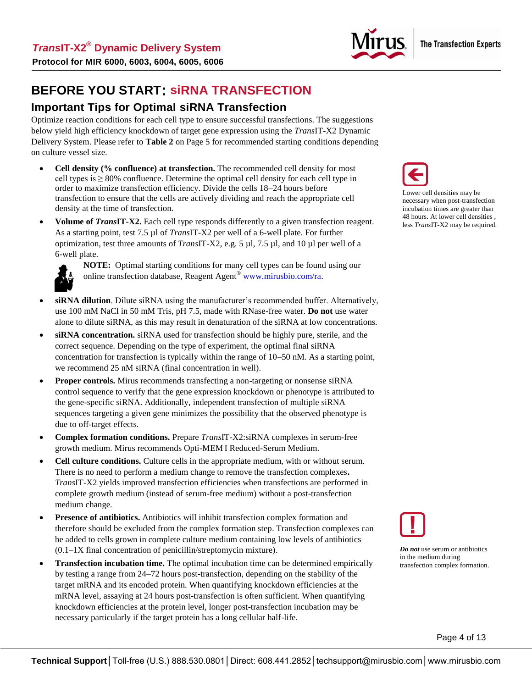

## **BEFORE YOU START: siRNA TRANSFECTION**

## **Important Tips for Optimal siRNA Transfection**

Optimize reaction conditions for each cell type to ensure successful transfections. The suggestions below yield high efficiency knockdown of target gene expression using the *Trans*IT-X2 Dynamic Delivery System. Please refer to **Table 2** on Page 5 for recommended starting conditions depending on culture vessel size.

- **Cell density (% confluence) at transfection.** The recommended cell density for most cell types is  $\geq$  80% confluence. Determine the optimal cell density for each cell type in order to maximize transfection efficiency. Divide the cells 18–24 hours before transfection to ensure that the cells are actively dividing and reach the appropriate cell density at the time of transfection.
- **Volume of** *Trans***IT-X2.** Each cell type responds differently to a given transfection reagent. As a starting point, test 7.5 µl of *Trans*IT-X2 per well of a 6-well plate. For further optimization, test three amounts of *Trans*IT-X2, e.g. 5 µl, 7.5 µl, and 10 µl per well of a 6-well plate.



**NOTE:** Optimal starting conditions for many cell types can be found using our online transfection database, Reagent Agent<sup>®</sup> [www.mirusbio.com/ra.](http://www.mirusbio.com/ra)

- **siRNA dilution**. Dilute siRNA using the manufacturer's recommended buffer. Alternatively, use 100 mM NaCl in 50 mM Tris, pH 7.5, made with RNase-free water. **Do not** use water alone to dilute siRNA, as this may result in denaturation of the siRNA at low concentrations.
- **siRNA concentration.** siRNA used for transfection should be highly pure, sterile, and the correct sequence. Depending on the type of experiment, the optimal final siRNA concentration for transfection is typically within the range of 10–50 nM. As a starting point, we recommend 25 nM siRNA (final concentration in well).
- **Proper controls.** Mirus recommends transfecting a non-targeting or nonsense siRNA control sequence to verify that the gene expression knockdown or phenotype is attributed to the gene-specific siRNA. Additionally, independent transfection of multiple siRNA sequences targeting a given gene minimizes the possibility that the observed phenotype is due to off-target effects.
- **Complex formation conditions.** Prepare *Trans*IT-X2:siRNA complexes in serum-free growth medium. Mirus recommends Opti-MEM I Reduced-Serum Medium.
- **Cell culture conditions.** Culture cells in the appropriate medium, with or without serum. There is no need to perform a medium change to remove the transfection complexes**.**  *Trans*IT-X2 yields improved transfection efficiencies when transfections are performed in complete growth medium (instead of serum-free medium) without a post-transfection medium change.
- **Presence of antibiotics.** Antibiotics will inhibit transfection complex formation and therefore should be excluded from the complex formation step. Transfection complexes can be added to cells grown in complete culture medium containing low levels of antibiotics (0.1–1X final concentration of penicillin/streptomycin mixture).
- **Transfection incubation time.** The optimal incubation time can be determined empirically by testing a range from 24–72 hours post-transfection, depending on the stability of the target mRNA and its encoded protein. When quantifying knockdown efficiencies at the mRNA level, assaying at 24 hours post-transfection is often sufficient. When quantifying knockdown efficiencies at the protein level, longer post-transfection incubation may be necessary particularly if the target protein has a long cellular half-life.



Lower cell densities may be necessary when post-transfection incubation times are greater than 48 hours. At lower cell densities , less *Trans*IT-X2 may be required.



*Do not* use serum or antibiotics in the medium during transfection complex formation.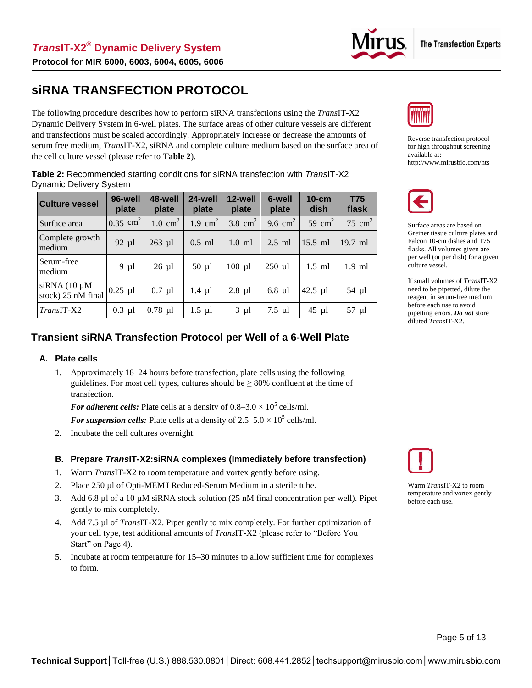

## **siRNA TRANSFECTION PROTOCOL**

The following procedure describes how to perform siRNA transfections using the *Trans*IT-X2 Dynamic Delivery System in 6-well plates. The surface areas of other culture vessels are different and transfections must be scaled accordingly. Appropriately increase or decrease the amounts of serum free medium, *Trans*IT-X2, siRNA and complete culture medium based on the surface area of the cell culture vessel (please refer to **Table 2**).

**Table 2:** Recommended starting conditions for siRNA transfection with *Trans*IT-X2 Dynamic Delivery System

| <b>Culture vessel</b>                   | 96-well<br>plate       | 48-well<br>plate   | 24-well<br>plate | 12-well<br>plate | 6-well<br>plate | $10$ -cm<br>dish | <b>T75</b><br>flask |
|-----------------------------------------|------------------------|--------------------|------------------|------------------|-----------------|------------------|---------------------|
| Surface area                            | $0.35$ cm <sup>2</sup> | $1.0 \text{ cm}^2$ | 1.9 $cm2$        | 3.8 $cm2$        | 9.6 $cm2$       | 59 $cm2$         | 75 $cm2$            |
| Complete growth<br>medium               | $92 \mu l$             | $263$ µl           | $0.5$ ml         | $1.0$ ml         | $2.5$ ml        | $15.5$ ml        | 19.7 ml             |
| Serum-free<br>medium                    | $9 \mu l$              | $26 \mu l$         | $50 \mu l$       | $100 \mu l$      | $250$ µl        | $1.5$ ml         | $1.9$ ml            |
| $siRNA(10 \mu M)$<br>stock) 25 nM final | $0.25$ µl              | $0.7$ µl           | $1.4 \mu l$      | $2.8$ µl         | $6.8$ µl        | 42.5 $\mu$ 1     | $54 \mu l$          |
| <i>TransIT-X2</i>                       | $0.3$ µl               | $0.78$ µl          | $1.5 \mu l$      | $3 \mu l$        | $7.5$ µl        | $45 \mu l$       | 57 µl               |

#### **Transient siRNA Transfection Protocol per Well of a 6-Well Plate**

#### **A. Plate cells**

1. Approximately 18–24 hours before transfection, plate cells using the following guidelines. For most cell types, cultures should be  $\geq 80\%$  confluent at the time of transfection.

For *adherent cells:* Plate cells at a density of  $0.8-3.0 \times 10^5$  cells/ml.

For suspension cells: Plate cells at a density of  $2.5-5.0 \times 10^5$  cells/ml.

2. Incubate the cell cultures overnight.

#### **B. Prepare** *Trans***IT-X2:siRNA complexes (Immediately before transfection)**

- 1. Warm *Trans*IT-X2 to room temperature and vortex gently before using.
- 2. Place 250 µl of Opti-MEM I Reduced-Serum Medium in a sterile tube.
- 3. Add 6.8 µl of a 10 µM siRNA stock solution (25 nM final concentration per well). Pipet gently to mix completely.
- 4. Add 7.5 µl of *Trans*IT-X2. Pipet gently to mix completely. For further optimization of your cell type, test additional amounts of *Trans*IT-X2 (please refer to "Before You Start" on Page 4).
- 5. Incubate at room temperature for 15–30 minutes to allow sufficient time for complexes to form.



Reverse transfection protocol for high throughput screening available at: <http://www.mirusbio.com/hts>



Surface areas are based on Greiner tissue culture plates and Falcon 10-cm dishes and T75 flasks. All volumes given are per well (or per dish) for a given culture vessel.

If small volumes of *Trans*IT-X2 need to be pipetted, dilute the reagent in serum-free medium before each use to avoid pipetting errors. *Do not* store diluted *Trans*IT-X2.



Warm *Trans*IT-X2 to room temperature and vortex gently before each use.

Page 5 of 13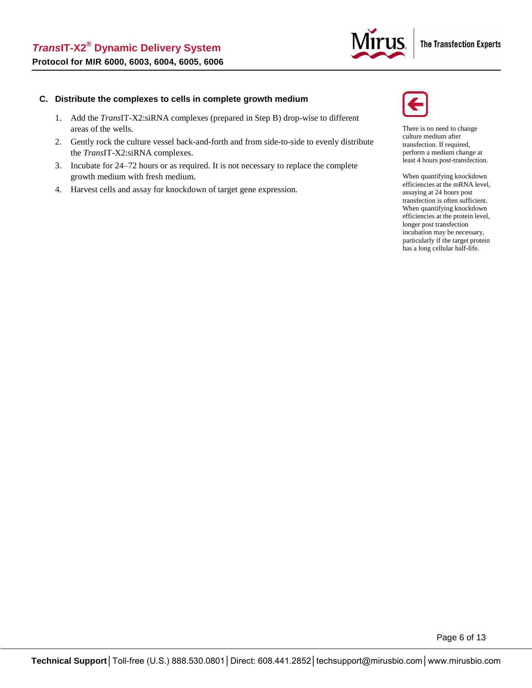

#### **C. Distribute the complexes to cells in complete growth medium**

- 1. Add the *Trans*IT-X2:siRNA complexes (prepared in Step B) drop-wise to different areas of the wells.
- 2. Gently rock the culture vessel back-and-forth and from side-to-side to evenly distribute the *Trans*IT-X2:siRNA complexes.
- 3. Incubate for 24–72 hours or as required. It is not necessary to replace the complete growth medium with fresh medium.
- 4. Harvest cells and assay for knockdown of target gene expression.



There is no need to change culture medium after transfection. If required, perform a medium change at least 4 hours post-transfection.

When quantifying knockdown efficiencies at the mRNA level, assaying at 24 hours post transfection is often sufficient. When quantifying knockdown efficiencies at the protein level, longer post transfection incubation may be necessary, particularly if the target protein has a long cellular half-life.

Page 6 of 13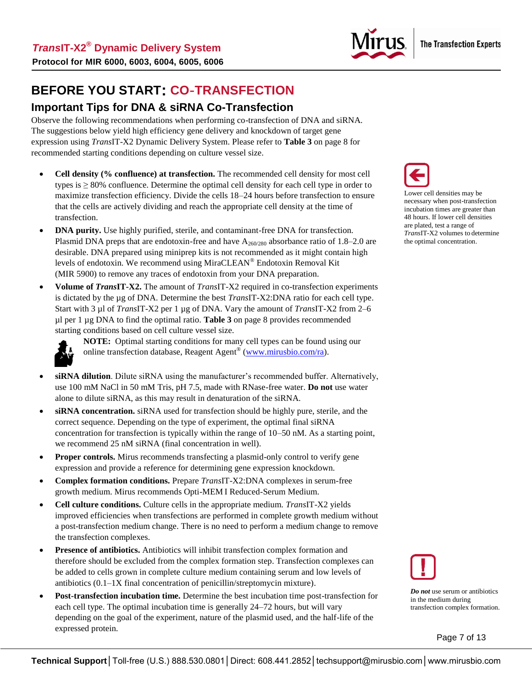

**BEFORE YOU START: CO**-**TRANSFECTION**

#### **Important Tips for DNA & siRNA Co-Transfection**

Observe the following recommendations when performing co-transfection of DNA and siRNA. The suggestions below yield high efficiency gene delivery and knockdown of target gene expression using *Trans*IT-X2 Dynamic Delivery System. Please refer to **Table 3** on page 8 for recommended starting conditions depending on culture vessel size.

- **Cell density (% confluence) at transfection.** The recommended cell density for most cell types is  $\geq$  80% confluence. Determine the optimal cell density for each cell type in order to maximize transfection efficiency. Divide the cells 18–24 hours before transfection to ensure that the cells are actively dividing and reach the appropriate cell density at the time of transfection.
- **DNA purity.** Use highly purified, sterile, and contaminant-free DNA for transfection. Plasmid DNA preps that are endotoxin-free and have  $A_{260/280}$  absorbance ratio of 1.8–2.0 are desirable. DNA prepared using miniprep kits is not recommended as it might contain high levels of endotoxin. We recommend using MiraCLEAN® Endotoxin Removal Kit (MIR 5900) to remove any traces of endotoxin from your DNA preparation.
- **Volume of** *Trans***IT-X2.** The amount of *Trans*IT-X2 required in co-transfection experiments is dictated by the µg of DNA. Determine the best *Trans*IT-X2:DNA ratio for each cell type. Start with 3 µl of *Trans*IT-X2 per 1 µg of DNA. Vary the amount of *Trans*IT-X2 from 2–6 µl per 1 µg DNA to find the optimal ratio. **Table 3** on page 8 provides recommended starting conditions based on cell culture vessel size.



**NOTE:** Optimal starting conditions for many cell types can be found using our online transfection database, Reagent Agent<sup>®</sup> [\(www.mirusbio.com/ra\)](http://www.mirusbio.com/ra).

- **siRNA dilution**. Dilute siRNA using the manufacturer's recommended buffer. Alternatively, use 100 mM NaCl in 50 mM Tris, pH 7.5, made with RNase-free water. **Do not** use water alone to dilute siRNA, as this may result in denaturation of the siRNA.
- **siRNA concentration.** siRNA used for transfection should be highly pure, sterile, and the correct sequence. Depending on the type of experiment, the optimal final siRNA concentration for transfection is typically within the range of 10–50 nM. As a starting point, we recommend 25 nM siRNA (final concentration in well).
- **Proper controls.** Mirus recommends transfecting a plasmid-only control to verify gene expression and provide a reference for determining gene expression knockdown.
- **Complex formation conditions.** Prepare *Trans*IT-X2:DNA complexes in serum-free growth medium. Mirus recommends Opti-MEM I Reduced-Serum Medium.
- **Cell culture conditions.** Culture cells in the appropriate medium. *Trans*IT-X2 yields improved efficiencies when transfections are performed in complete growth medium without a post-transfection medium change. There is no need to perform a medium change to remove the transfection complexes.
- **Presence of antibiotics.** Antibiotics will inhibit transfection complex formation and therefore should be excluded from the complex formation step. Transfection complexes can be added to cells grown in complete culture medium containing serum and low levels of antibiotics (0.1–1X final concentration of penicillin/streptomycin mixture).
- **Post-transfection incubation time.** Determine the best incubation time post-transfection for each cell type. The optimal incubation time is generally 24–72 hours, but will vary depending on the goal of the experiment, nature of the plasmid used, and the half-life of the expressed protein.



Lower cell densities may be necessary when post-transfection incubation times are greater than 48 hours. If lower cell densities are plated, test a range of *Trans*IT-X2 volumes to determine the optimal concentration.



*Do not* use serum or antibiotics in the medium during transfection complex formation.

Page 7 of 13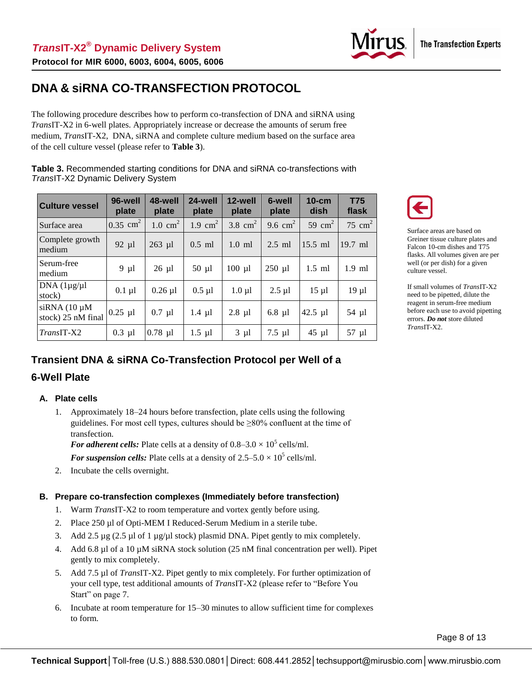

## **DNA & siRNA CO-TRANSFECTION PROTOCOL**

The following procedure describes how to perform co-transfection of DNA and siRNA using *Trans*IT-X2 in 6-well plates. Appropriately increase or decrease the amounts of serum free medium, *Trans*IT-X2, DNA, siRNA and complete culture medium based on the surface area of the cell culture vessel (please refer to **Table 3**).

**Table 3.** Recommended starting conditions for DNA and siRNA co-transfections with *Trans*IT-X2 Dynamic Delivery System

| <b>Culture vessel</b>                   | 96-well<br>plate    | 48-well<br>plate   | 24-well<br>plate   | 12-well<br>plate | 6-well<br>plate | $10$ -cm<br>dish | <b>T75</b><br>flask |
|-----------------------------------------|---------------------|--------------------|--------------------|------------------|-----------------|------------------|---------------------|
| Surface area                            | $0.35 \text{ cm}^2$ | $1.0 \text{ cm}^2$ | $1.9 \text{ cm}^2$ | 3.8 $cm2$        | 9.6 $cm2$       | 59 $cm2$         | 75 cm <sup>2</sup>  |
| Complete growth<br>medium               | $92 \mu l$          | $263$ µl           | $0.5$ ml           | $1.0$ ml         | $2.5$ ml        | $15.5$ ml        | 19.7 ml             |
| Serum-free<br>medium                    | $9 \mu l$           | $26 \mu l$         | $50 \mu l$         | $100 \mu l$      | $250$ µl        | $1.5$ ml         | $1.9$ ml            |
| $DNA$ $(1\mu g/\mu l)$<br>stock)        | $0.1 \mu l$         | $0.26$ µl          | $0.5 \mu l$        | $1.0 \mu l$      | $2.5$ $\mu$ l   | $15 \mu l$       | $19 \mu l$          |
| $siRNA(10 \mu M)$<br>stock) 25 nM final | $0.25$ µl           | $0.7$ µl           | $1.4 \mu l$        | $2.8$ µl         | $6.8$ µl        | $42.5$ µl        | 54 µl               |
| $TransIT-X2$                            | $0.3$ µl            | $0.78$ µl          | $1.5 \mu l$        | $3 \mu l$        | $7.5$ µl        | $45 \mu l$       | $57 \mu l$          |

Surface areas are based on Greiner tissue culture plates and Falcon 10-cm dishes and T75 flasks. All volumes given are per well (or per dish) for a given culture vessel.

If small volumes of *Trans*IT-X2 need to be pipetted, dilute the reagent in serum-free medium before each use to avoid pipetting errors. *Do not* store diluted *Trans*IT-X2.

### **Transient DNA & siRNA Co-Transfection Protocol per Well of a**

#### **6-Well Plate**

#### **A. Plate cells**

1. Approximately 18–24 hours before transfection, plate cells using the following guidelines. For most cell types, cultures should be ≥80% confluent at the time of transfection.

For *adherent cells:* Plate cells at a density of  $0.8-3.0 \times 10^5$  cells/ml.

For suspension cells: Plate cells at a density of  $2.5-5.0 \times 10^5$  cells/ml.

2. Incubate the cells overnight.

#### **B. Prepare co-transfection complexes (Immediately before transfection)**

- 1. Warm *Trans*IT-X2 to room temperature and vortex gently before using.
- 2. Place 250 µl of Opti-MEM I Reduced-Serum Medium in a sterile tube.
- 3. Add 2.5  $\mu$ g (2.5  $\mu$ l of 1  $\mu$ g/ $\mu$ l stock) plasmid DNA. Pipet gently to mix completely.
- 4. Add 6.8 µl of a 10 µM siRNA stock solution (25 nM final concentration per well). Pipet gently to mix completely.
- 5. Add 7.5 µl of *Trans*IT-X2. Pipet gently to mix completely. For further optimization of your cell type, test additional amounts of *Trans*IT-X2 (please refer to "Before You Start" on page 7.
- 6. Incubate at room temperature for 15–30 minutes to allow sufficient time for complexes to form.

Page 8 of 13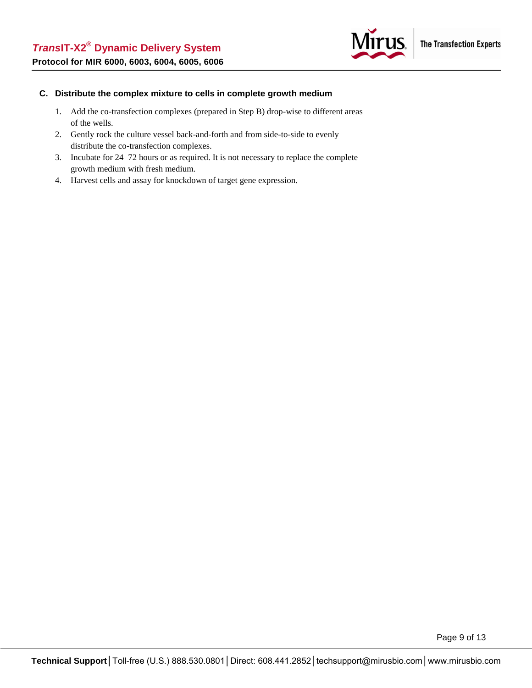

#### **C. Distribute the complex mixture to cells in complete growth medium**

- 1. Add the co-transfection complexes (prepared in Step B) drop-wise to different areas of the wells.
- 2. Gently rock the culture vessel back-and-forth and from side-to-side to evenly distribute the co-transfection complexes.
- 3. Incubate for 24–72 hours or as required. It is not necessary to replace the complete growth medium with fresh medium.
- 4. Harvest cells and assay for knockdown of target gene expression.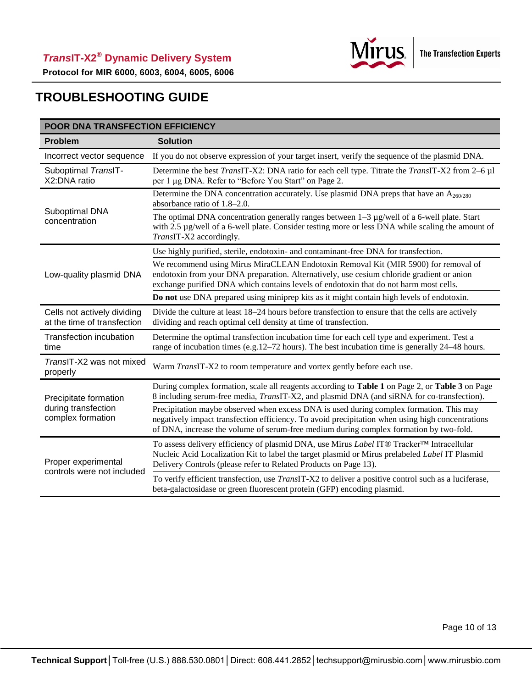

**Protocol for MIR 6000, 6003, 6004, 6005, 6006**

## **TROUBLESHOOTING GUIDE**

| POOR DNA TRANSFECTION EFFICIENCY                                  |                                                                                                                                                                                                                                                                                       |  |  |  |
|-------------------------------------------------------------------|---------------------------------------------------------------------------------------------------------------------------------------------------------------------------------------------------------------------------------------------------------------------------------------|--|--|--|
| <b>Problem</b>                                                    | <b>Solution</b>                                                                                                                                                                                                                                                                       |  |  |  |
| Incorrect vector sequence                                         | If you do not observe expression of your target insert, verify the sequence of the plasmid DNA.                                                                                                                                                                                       |  |  |  |
| Suboptimal TranslT-<br>X2:DNA ratio                               | Determine the best TransIT-X2: DNA ratio for each cell type. Titrate the TransIT-X2 from 2–6 µl<br>per 1 µg DNA. Refer to "Before You Start" on Page 2.                                                                                                                               |  |  |  |
|                                                                   | Determine the DNA concentration accurately. Use plasmid DNA preps that have an $A_{260/280}$<br>absorbance ratio of 1.8–2.0.                                                                                                                                                          |  |  |  |
| Suboptimal DNA<br>concentration                                   | The optimal DNA concentration generally ranges between $1-3$ µg/well of a 6-well plate. Start<br>with 2.5 µg/well of a 6-well plate. Consider testing more or less DNA while scaling the amount of<br>TransIT-X2 accordingly.                                                         |  |  |  |
|                                                                   | Use highly purified, sterile, endotoxin- and contaminant-free DNA for transfection.                                                                                                                                                                                                   |  |  |  |
| Low-quality plasmid DNA                                           | We recommend using Mirus MiraCLEAN Endotoxin Removal Kit (MIR 5900) for removal of<br>endotoxin from your DNA preparation. Alternatively, use cesium chloride gradient or anion<br>exchange purified DNA which contains levels of endotoxin that do not harm most cells.              |  |  |  |
|                                                                   | Do not use DNA prepared using miniprep kits as it might contain high levels of endotoxin.                                                                                                                                                                                             |  |  |  |
| Cells not actively dividing<br>at the time of transfection        | Divide the culture at least 18–24 hours before transfection to ensure that the cells are actively<br>dividing and reach optimal cell density at time of transfection.                                                                                                                 |  |  |  |
| Transfection incubation<br>time                                   | Determine the optimal transfection incubation time for each cell type and experiment. Test a<br>range of incubation times (e.g. $12-72$ hours). The best incubation time is generally $24-48$ hours.                                                                                  |  |  |  |
| TransIT-X2 was not mixed<br>properly                              | Warm TransIT-X2 to room temperature and vortex gently before each use.                                                                                                                                                                                                                |  |  |  |
| Precipitate formation<br>during transfection<br>complex formation | During complex formation, scale all reagents according to Table 1 on Page 2, or Table 3 on Page<br>8 including serum-free media, <i>TransIT-X2</i> , and plasmid DNA (and siRNA for co-transfection).                                                                                 |  |  |  |
|                                                                   | Precipitation maybe observed when excess DNA is used during complex formation. This may<br>negatively impact transfection efficiency. To avoid precipitation when using high concentrations<br>of DNA, increase the volume of serum-free medium during complex formation by two-fold. |  |  |  |
| Proper experimental<br>controls were not included                 | To assess delivery efficiency of plasmid DNA, use Mirus Label IT® Tracker™ Intracellular<br>Nucleic Acid Localization Kit to label the target plasmid or Mirus prelabeled Label IT Plasmid<br>Delivery Controls (please refer to Related Products on Page 13).                        |  |  |  |
|                                                                   | To verify efficient transfection, use <i>TransIT-X2</i> to deliver a positive control such as a luciferase,<br>beta-galactosidase or green fluorescent protein (GFP) encoding plasmid.                                                                                                |  |  |  |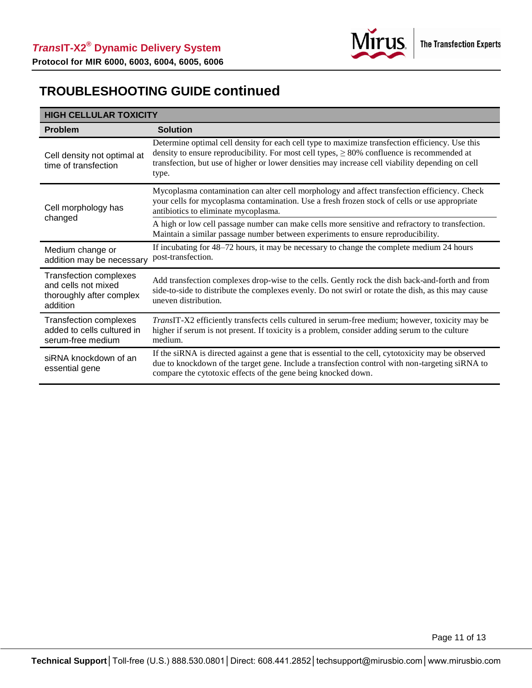

## **TROUBLESHOOTING GUIDE continued**

| <b>HIGH CELLULAR TOXICITY</b>                                                                |                                                                                                                                                                                                                                                                                                                  |  |  |
|----------------------------------------------------------------------------------------------|------------------------------------------------------------------------------------------------------------------------------------------------------------------------------------------------------------------------------------------------------------------------------------------------------------------|--|--|
| <b>Problem</b>                                                                               | <b>Solution</b>                                                                                                                                                                                                                                                                                                  |  |  |
| Cell density not optimal at<br>time of transfection                                          | Determine optimal cell density for each cell type to maximize transfection efficiency. Use this<br>density to ensure reproducibility. For most cell types, $\geq 80\%$ confluence is recommended at<br>transfection, but use of higher or lower densities may increase cell viability depending on cell<br>type. |  |  |
| Cell morphology has<br>changed                                                               | Mycoplasma contamination can alter cell morphology and affect transfection efficiency. Check<br>your cells for mycoplasma contamination. Use a fresh frozen stock of cells or use appropriate<br>antibiotics to eliminate mycoplasma.                                                                            |  |  |
|                                                                                              | A high or low cell passage number can make cells more sensitive and refractory to transfection.<br>Maintain a similar passage number between experiments to ensure reproducibility.                                                                                                                              |  |  |
| Medium change or<br>addition may be necessary                                                | If incubating for 48–72 hours, it may be necessary to change the complete medium 24 hours<br>post-transfection.                                                                                                                                                                                                  |  |  |
| <b>Transfection complexes</b><br>and cells not mixed<br>thoroughly after complex<br>addition | Add transfection complexes drop-wise to the cells. Gently rock the dish back-and-forth and from<br>side-to-side to distribute the complexes evenly. Do not swirl or rotate the dish, as this may cause<br>uneven distribution.                                                                                   |  |  |
| <b>Transfection complexes</b><br>added to cells cultured in<br>serum-free medium             | TransIT-X2 efficiently transfects cells cultured in serum-free medium; however, toxicity may be<br>higher if serum is not present. If toxicity is a problem, consider adding serum to the culture<br>medium.                                                                                                     |  |  |
| siRNA knockdown of an<br>essential gene                                                      | If the siRNA is directed against a gene that is essential to the cell, cytotoxicity may be observed<br>due to knockdown of the target gene. Include a transfection control with non-targeting siRNA to<br>compare the cytotoxic effects of the gene being knocked down.                                          |  |  |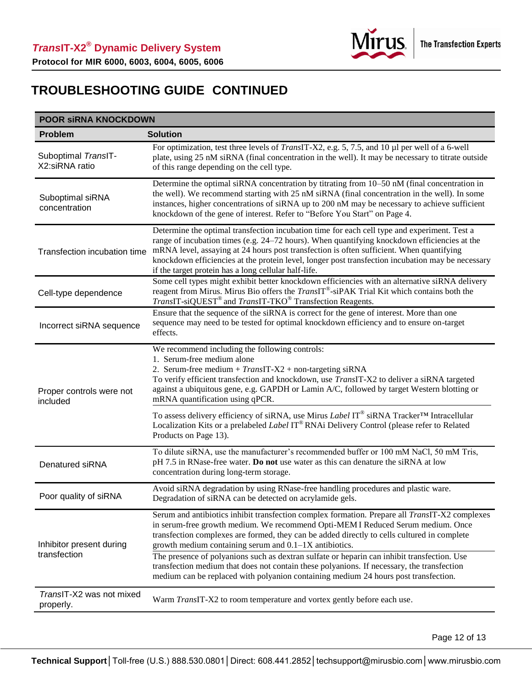

## **TROUBLESHOOTING GUIDE CONTINUED**

| <b>POOR SIRNA KNOCKDOWN</b>              |                                                                                                                                                                                                                                                                                                                                                                                                                                                                                                                                                                                                                                |  |  |
|------------------------------------------|--------------------------------------------------------------------------------------------------------------------------------------------------------------------------------------------------------------------------------------------------------------------------------------------------------------------------------------------------------------------------------------------------------------------------------------------------------------------------------------------------------------------------------------------------------------------------------------------------------------------------------|--|--|
| <b>Problem</b>                           | <b>Solution</b>                                                                                                                                                                                                                                                                                                                                                                                                                                                                                                                                                                                                                |  |  |
| Suboptimal TransIT-<br>X2:siRNA ratio    | For optimization, test three levels of <i>TransIT-X2</i> , e.g. 5, 7.5, and 10 µl per well of a 6-well<br>plate, using 25 nM siRNA (final concentration in the well). It may be necessary to titrate outside<br>of this range depending on the cell type.                                                                                                                                                                                                                                                                                                                                                                      |  |  |
| Suboptimal siRNA<br>concentration        | Determine the optimal siRNA concentration by titrating from 10–50 nM (final concentration in<br>the well). We recommend starting with 25 nM siRNA (final concentration in the well). In some<br>instances, higher concentrations of siRNA up to 200 nM may be necessary to achieve sufficient<br>knockdown of the gene of interest. Refer to "Before You Start" on Page 4.                                                                                                                                                                                                                                                     |  |  |
| Transfection incubation time             | Determine the optimal transfection incubation time for each cell type and experiment. Test a<br>range of incubation times (e.g. 24–72 hours). When quantifying knockdown efficiencies at the<br>mRNA level, assaying at 24 hours post transfection is often sufficient. When quantifying<br>knockdown efficiencies at the protein level, longer post transfection incubation may be necessary<br>if the target protein has a long cellular half-life.                                                                                                                                                                          |  |  |
| Cell-type dependence                     | Some cell types might exhibit better knockdown efficiencies with an alternative siRNA delivery<br>reagent from Mirus. Mirus Bio offers the TransIT®-siPAK Trial Kit which contains both the<br>TransIT-siQUEST® and TransIT-TKO® Transfection Reagents.                                                                                                                                                                                                                                                                                                                                                                        |  |  |
| Incorrect siRNA sequence                 | Ensure that the sequence of the siRNA is correct for the gene of interest. More than one<br>sequence may need to be tested for optimal knockdown efficiency and to ensure on-target<br>effects.                                                                                                                                                                                                                                                                                                                                                                                                                                |  |  |
| Proper controls were not<br>included     | We recommend including the following controls:<br>1. Serum-free medium alone<br>2. Serum-free medium + $TransIT-X2$ + non-targeting siRNA<br>To verify efficient transfection and knockdown, use TransIT-X2 to deliver a siRNA targeted<br>against a ubiquitous gene, e.g. GAPDH or Lamin A/C, followed by target Western blotting or<br>mRNA quantification using qPCR.                                                                                                                                                                                                                                                       |  |  |
|                                          | To assess delivery efficiency of siRNA, use Mirus Label IT® siRNA Tracker <sup>™</sup> Intracellular<br>Localization Kits or a prelabeled Label IT® RNAi Delivery Control (please refer to Related<br>Products on Page 13).                                                                                                                                                                                                                                                                                                                                                                                                    |  |  |
| Denatured siRNA                          | To dilute siRNA, use the manufacturer's recommended buffer or 100 mM NaCl, 50 mM Tris,<br>pH 7.5 in RNase-free water. Do not use water as this can denature the siRNA at low<br>concentration during long-term storage.                                                                                                                                                                                                                                                                                                                                                                                                        |  |  |
| Poor quality of siRNA                    | Avoid siRNA degradation by using RNase-free handling procedures and plastic ware.<br>Degradation of siRNA can be detected on acrylamide gels.                                                                                                                                                                                                                                                                                                                                                                                                                                                                                  |  |  |
| Inhibitor present during<br>transfection | Serum and antibiotics inhibit transfection complex formation. Prepare all TransIT-X2 complexes<br>in serum-free growth medium. We recommend Opti-MEM I Reduced Serum medium. Once<br>transfection complexes are formed, they can be added directly to cells cultured in complete<br>growth medium containing serum and 0.1-1X antibiotics.<br>The presence of polyanions such as dextran sulfate or heparin can inhibit transfection. Use<br>transfection medium that does not contain these polyanions. If necessary, the transfection<br>medium can be replaced with polyanion containing medium 24 hours post transfection. |  |  |
| TransIT-X2 was not mixed<br>properly.    | Warm TransIT-X2 to room temperature and vortex gently before each use.                                                                                                                                                                                                                                                                                                                                                                                                                                                                                                                                                         |  |  |

Page 12 of 13